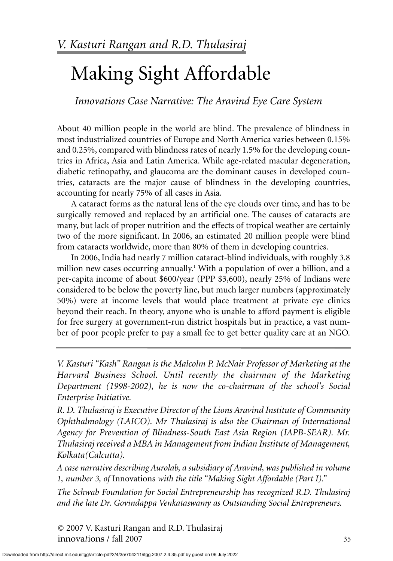*Innovations Case Narrative: The Aravind Eye Care System*

About 40 million people in the world are blind. The prevalence of blindness in most industrialized countries of Europe and North America varies between 0.15% and 0.25%, compared with blindness rates of nearly 1.5% for the developing countries in Africa, Asia and Latin America. While age-related macular degeneration, diabetic retinopathy, and glaucoma are the dominant causes in developed countries, cataracts are the major cause of blindness in the developing countries, accounting for nearly 75% of all cases in Asia.

A cataract forms as the natural lens of the eye clouds over time, and has to be surgically removed and replaced by an artificial one. The causes of cataracts are many, but lack of proper nutrition and the effects of tropical weather are certainly two of the more significant. In 2006, an estimated 20 million people were blind from cataracts worldwide, more than 80% of them in developing countries.

In 2006, India had nearly 7 million cataract-blind individuals, with roughly 3.8 million new cases occurring annually.<sup>1</sup> With a population of over a billion, and a per-capita income of about \$600/year (PPP \$3,600), nearly 25% of Indians were considered to be below the poverty line, but much larger numbers (approximately 50%) were at income levels that would place treatment at private eye clinics beyond their reach. In theory, anyone who is unable to afford payment is eligible for free surgery at government-run district hospitals but in practice, a vast number of poor people prefer to pay a small fee to get better quality care at an NGO.

*V. Kasturi "Kash" Rangan is the Malcolm P. McNair Professor of Marketing at the Harvard Business School. Until recently the chairman of the Marketing Department (1998-2002), he is now the co-chairman of the school's Social Enterprise Initiative.*

*R. D. Thulasiraj is Executive Director of the Lions Aravind Institute of Community Ophthalmology (LAICO). Mr Thulasiraj is also the Chairman of International Agency for Prevention of Blindness-South East Asia Region (IAPB-SEAR). Mr. Thulasiraj received a MBA in Management from Indian Institute of Management, Kolkata(Calcutta).*

*A case narrative describing Aurolab, a subsidiary of Aravind, was published in volume 1, number 3, of* Innovations *with the title "Making Sight Affordable (Part I)."*

*The Schwab Foundation for Social Entrepreneurship has recognized R.D. Thulasiraj and the late Dr. Govindappa Venkataswamy as Outstanding Social Entrepreneurs.*

© 2007 V. Kasturi Rangan and R.D. Thulasiraj innova*t*ions / fall 2007 35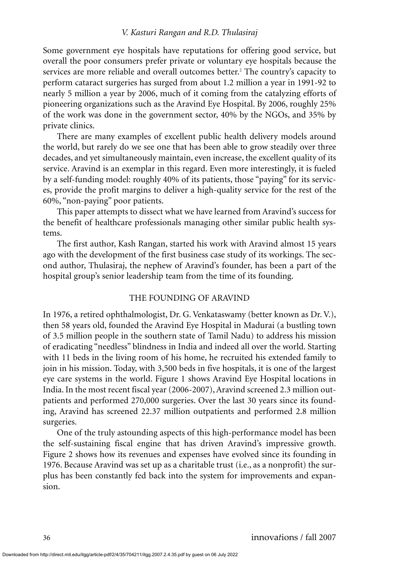Some government eye hospitals have reputations for offering good service, but overall the poor consumers prefer private or voluntary eye hospitals because the services are more reliable and overall outcomes better.<sup>2</sup> The country's capacity to perform cataract surgeries has surged from about 1.2 million a year in 1991-92 to nearly 5 million a year by 2006, much of it coming from the catalyzing efforts of pioneering organizations such as the Aravind Eye Hospital. By 2006, roughly 25% of the work was done in the government sector, 40% by the NGOs, and 35% by private clinics.

There are many examples of excellent public health delivery models around the world, but rarely do we see one that has been able to grow steadily over three decades, and yet simultaneously maintain, even increase, the excellent quality of its service. Aravind is an exemplar in this regard. Even more interestingly, it is fueled by a self-funding model: roughly 40% of its patients, those "paying" for its services, provide the profit margins to deliver a high-quality service for the rest of the 60%, "non-paying" poor patients.

This paper attempts to dissect what we have learned from Aravind's success for the benefit of healthcare professionals managing other similar public health systems.

The first author, Kash Rangan, started his work with Aravind almost 15 years ago with the development of the first business case study of its workings. The second author, Thulasiraj, the nephew of Aravind's founder, has been a part of the hospital group's senior leadership team from the time of its founding.

## THE FOUNDING OF ARAVIND

In 1976, a retired ophthalmologist, Dr. G. Venkataswamy (better known as Dr. V.), then 58 years old, founded the Aravind Eye Hospital in Madurai (a bustling town of 3.5 million people in the southern state of Tamil Nadu) to address his mission of eradicating "needless" blindness in India and indeed all over the world. Starting with 11 beds in the living room of his home, he recruited his extended family to join in his mission. Today, with 3,500 beds in five hospitals, it is one of the largest eye care systems in the world. Figure 1 shows Aravind Eye Hospital locations in India. In the most recent fiscal year (2006-2007), Aravind screened 2.3 million outpatients and performed 270,000 surgeries. Over the last 30 years since its founding, Aravind has screened 22.37 million outpatients and performed 2.8 million surgeries.

One of the truly astounding aspects of this high-performance model has been the self-sustaining fiscal engine that has driven Aravind's impressive growth. Figure 2 shows how its revenues and expenses have evolved since its founding in 1976. Because Aravind was set up as a charitable trust (i.e., as a nonprofit) the surplus has been constantly fed back into the system for improvements and expansion.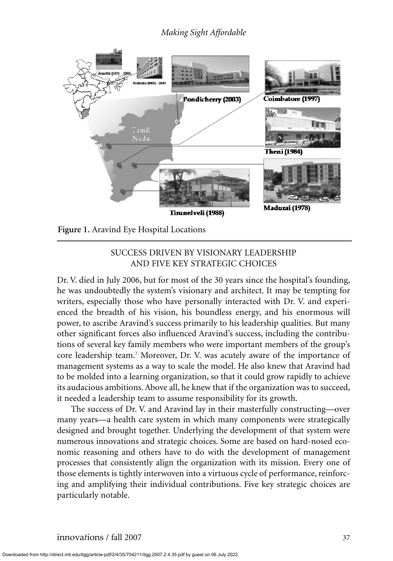

**Figure 1.** Aravind Eye Hospital Locations

# SUCCESS DRIVEN BY VISIONARY LEADERSHIP AND FIVE KEY STRATEGIC CHOICES

Dr. V. died in July 2006, but for most of the 30 years since the hospital's founding, he was undoubtedly the system's visionary and architect. It may be tempting for writers, especially those who have personally interacted with Dr. V. and experienced the breadth of his vision, his boundless energy, and his enormous will power, to ascribe Aravind's success primarily to his leadership qualities. But many other significant forces also influenced Aravind's success, including the contributions of several key family members who were important members of the group's core leadership team.<sup>3</sup> Moreover, Dr. V. was acutely aware of the importance of management systems as a way to scale the model. He also knew that Aravind had to be molded into a learning organization, so that it could grow rapidly to achieve its audacious ambitions. Above all, he knew that if the organization was to succeed, it needed a leadership team to assume responsibility for its growth.

The success of Dr. V. and Aravind lay in their masterfully constructing—over many years—a health care system in which many components were strategically designed and brought together. Underlying the development of that system were numerous innovations and strategic choices. Some are based on hard-nosed economic reasoning and others have to do with the development of management processes that consistently align the organization with its mission. Every one of those elements is tightly interwoven into a virtuous cycle of performance, reinforcing and amplifying their individual contributions. Five key strategic choices are particularly notable.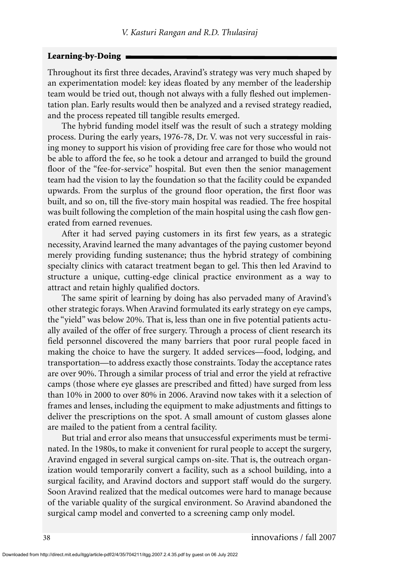#### **Learning-by-Doing**

Throughout its first three decades, Aravind's strategy was very much shaped by an experimentation model: key ideas floated by any member of the leadership team would be tried out, though not always with a fully fleshed out implementation plan. Early results would then be analyzed and a revised strategy readied, and the process repeated till tangible results emerged.

The hybrid funding model itself was the result of such a strategy molding process. During the early years, 1976-78, Dr. V. was not very successful in raising money to support his vision of providing free care for those who would not be able to afford the fee, so he took a detour and arranged to build the ground floor of the "fee-for-service" hospital. But even then the senior management team had the vision to lay the foundation so that the facility could be expanded upwards. From the surplus of the ground floor operation, the first floor was built, and so on, till the five-story main hospital was readied. The free hospital was built following the completion of the main hospital using the cash flow generated from earned revenues.

After it had served paying customers in its first few years, as a strategic necessity, Aravind learned the many advantages of the paying customer beyond merely providing funding sustenance; thus the hybrid strategy of combining specialty clinics with cataract treatment began to gel. This then led Aravind to structure a unique, cutting-edge clinical practice environment as a way to attract and retain highly qualified doctors.

The same spirit of learning by doing has also pervaded many of Aravind's other strategic forays. When Aravind formulated its early strategy on eye camps, the "yield" was below 20%. That is, less than one in five potential patients actually availed of the offer of free surgery. Through a process of client research its field personnel discovered the many barriers that poor rural people faced in making the choice to have the surgery. It added services—food, lodging, and transportation—to address exactly those constraints. Today the acceptance rates are over 90%. Through a similar process of trial and error the yield at refractive camps (those where eye glasses are prescribed and fitted) have surged from less than 10% in 2000 to over 80% in 2006. Aravind now takes with it a selection of frames and lenses, including the equipment to make adjustments and fittings to deliver the prescriptions on the spot. A small amount of custom glasses alone are mailed to the patient from a central facility.

But trial and error also means that unsuccessful experiments must be terminated. In the 1980s, to make it convenient for rural people to accept the surgery, Aravind engaged in several surgical camps on-site. That is, the outreach organization would temporarily convert a facility, such as a school building, into a surgical facility, and Aravind doctors and support staff would do the surgery. Soon Aravind realized that the medical outcomes were hard to manage because of the variable quality of the surgical environment. So Aravind abandoned the surgical camp model and converted to a screening camp only model.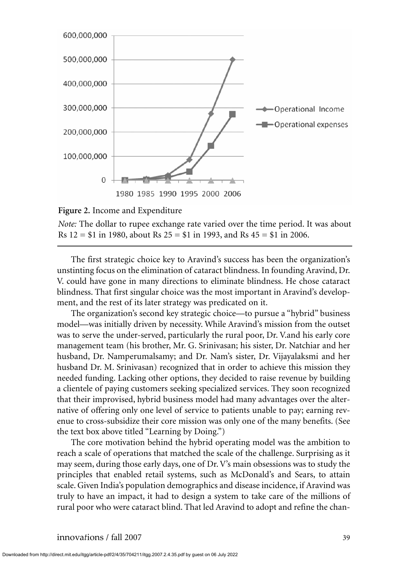

**Figure 2.** Income and Expenditure

*Note:* The dollar to rupee exchange rate varied over the time period. It was about Rs  $12 = $1$  in 1980, about Rs  $25 = $1$  in 1993, and Rs  $45 = $1$  in 2006.

The first strategic choice key to Aravind's success has been the organization's unstinting focus on the elimination of cataract blindness. In founding Aravind, Dr. V. could have gone in many directions to eliminate blindness. He chose cataract blindness. That first singular choice was the most important in Aravind's development, and the rest of its later strategy was predicated on it.

The organization's second key strategic choice—to pursue a "hybrid" business model—was initially driven by necessity. While Aravind's mission from the outset was to serve the under-served, particularly the rural poor, Dr. V.and his early core management team (his brother, Mr. G. Srinivasan; his sister, Dr. Natchiar and her husband, Dr. Namperumalsamy; and Dr. Nam's sister, Dr. Vijayalaksmi and her husband Dr. M. Srinivasan) recognized that in order to achieve this mission they needed funding. Lacking other options, they decided to raise revenue by building a clientele of paying customers seeking specialized services. They soon recognized that their improvised, hybrid business model had many advantages over the alternative of offering only one level of service to patients unable to pay; earning revenue to cross-subsidize their core mission was only one of the many benefits. (See the text box above titled "Learning by Doing.")

The core motivation behind the hybrid operating model was the ambition to reach a scale of operations that matched the scale of the challenge. Surprising as it may seem, during those early days, one of Dr. V's main obsessions was to study the principles that enabled retail systems, such as McDonald's and Sears, to attain scale. Given India's population demographics and disease incidence, if Aravind was truly to have an impact, it had to design a system to take care of the millions of rural poor who were cataract blind. That led Aravind to adopt and refine the chan-

Downloaded from http://direct.mit.edu/itgg/article-pdf/2/4/35/704211/itgg.2007.2.4.35.pdf by guest on 06 July 2022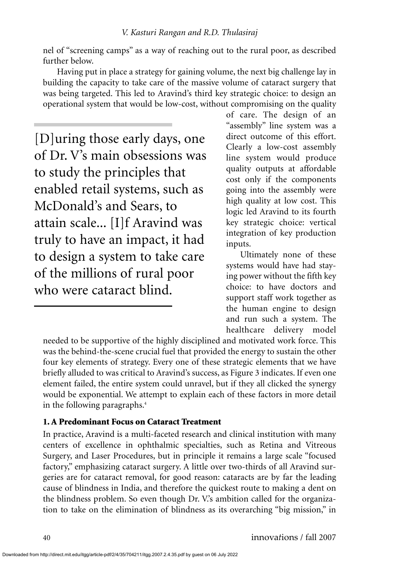nel of "screening camps" as a way of reaching out to the rural poor, as described further below.

Having put in place a strategy for gaining volume, the next big challenge lay in building the capacity to take care of the massive volume of cataract surgery that was being targeted. This led to Aravind's third key strategic choice: to design an operational system that would be low-cost, without compromising on the quality

[D]uring those early days, one of Dr. V's main obsessions was to study the principles that enabled retail systems, such as McDonald's and Sears, to attain scale... [I]f Aravind was truly to have an impact, it had to design a system to take care of the millions of rural poor who were cataract blind.

of care. The design of an "assembly" line system was a direct outcome of this effort. Clearly a low-cost assembly line system would produce quality outputs at affordable cost only if the components going into the assembly were high quality at low cost. This logic led Aravind to its fourth key strategic choice: vertical integration of key production inputs.

Ultimately none of these systems would have had staying power without the fifth key choice: to have doctors and support staff work together as the human engine to design and run such a system. The healthcare delivery model

needed to be supportive of the highly disciplined and motivated work force. This was the behind-the-scene crucial fuel that provided the energy to sustain the other four key elements of strategy. Every one of these strategic elements that we have briefly alluded to was critical to Aravind's success, as Figure 3 indicates. If even one element failed, the entire system could unravel, but if they all clicked the synergy would be exponential. We attempt to explain each of these factors in more detail in the following paragraphs.<sup>4</sup>

# **1. A Predominant Focus on Cataract Treatment**

In practice, Aravind is a multi-faceted research and clinical institution with many centers of excellence in ophthalmic specialties, such as Retina and Vitreous Surgery, and Laser Procedures, but in principle it remains a large scale "focused factory," emphasizing cataract surgery. A little over two-thirds of all Aravind surgeries are for cataract removal, for good reason: cataracts are by far the leading cause of blindness in India, and therefore the quickest route to making a dent on the blindness problem. So even though Dr. V.'s ambition called for the organization to take on the elimination of blindness as its overarching "big mission," in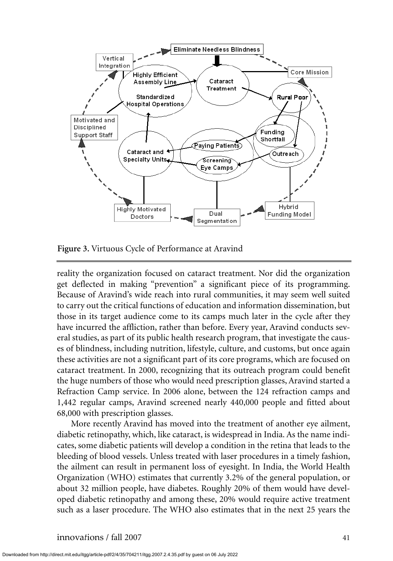

**Figure 3.** Virtuous Cycle of Performance at Aravind

reality the organization focused on cataract treatment. Nor did the organization get deflected in making "prevention" a significant piece of its programming. Because of Aravind's wide reach into rural communities, it may seem well suited to carry out the critical functions of education and information dissemination, but those in its target audience come to its camps much later in the cycle after they have incurred the affliction, rather than before. Every year, Aravind conducts several studies, as part of its public health research program, that investigate the causes of blindness, including nutrition, lifestyle, culture, and customs, but once again these activities are not a significant part of its core programs, which are focused on cataract treatment. In 2000, recognizing that its outreach program could benefit the huge numbers of those who would need prescription glasses, Aravind started a Refraction Camp service. In 2006 alone, between the 124 refraction camps and 1,442 regular camps, Aravind screened nearly 440,000 people and fitted about 68,000 with prescription glasses.

More recently Aravind has moved into the treatment of another eye ailment, diabetic retinopathy, which, like cataract, is widespread in India. As the name indicates, some diabetic patients will develop a condition in the retina that leads to the bleeding of blood vessels. Unless treated with laser procedures in a timely fashion, the ailment can result in permanent loss of eyesight. In India, the World Health Organization (WHO) estimates that currently 3.2% of the general population, or about 32 million people, have diabetes. Roughly 20% of them would have developed diabetic retinopathy and among these, 20% would require active treatment such as a laser procedure. The WHO also estimates that in the next 25 years the

Downloaded from http://direct.mit.edu/itgg/article-pdf/2/4/35/704211/itgg.2007.2.4.35.pdf by guest on 06 July 2022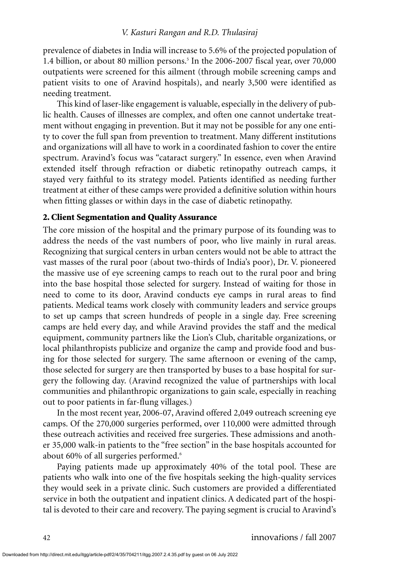prevalence of diabetes in India will increase to 5.6% of the projected population of 1.4 billion, or about 80 million persons.<sup>5</sup> In the 2006-2007 fiscal year, over 70,000 outpatients were screened for this ailment (through mobile screening camps and patient visits to one of Aravind hospitals), and nearly 3,500 were identified as needing treatment.

This kind of laser-like engagement is valuable, especially in the delivery of public health. Causes of illnesses are complex, and often one cannot undertake treatment without engaging in prevention. But it may not be possible for any one entity to cover the full span from prevention to treatment. Many different institutions and organizations will all have to work in a coordinated fashion to cover the entire spectrum. Aravind's focus was "cataract surgery." In essence, even when Aravind extended itself through refraction or diabetic retinopathy outreach camps, it stayed very faithful to its strategy model. Patients identified as needing further treatment at either of these camps were provided a definitive solution within hours when fitting glasses or within days in the case of diabetic retinopathy.

### **2. Client Segmentation and Quality Assurance**

The core mission of the hospital and the primary purpose of its founding was to address the needs of the vast numbers of poor, who live mainly in rural areas. Recognizing that surgical centers in urban centers would not be able to attract the vast masses of the rural poor (about two-thirds of India's poor), Dr. V. pioneered the massive use of eye screening camps to reach out to the rural poor and bring into the base hospital those selected for surgery. Instead of waiting for those in need to come to its door, Aravind conducts eye camps in rural areas to find patients. Medical teams work closely with community leaders and service groups to set up camps that screen hundreds of people in a single day. Free screening camps are held every day, and while Aravind provides the staff and the medical equipment, community partners like the Lion's Club, charitable organizations, or local philanthropists publicize and organize the camp and provide food and busing for those selected for surgery. The same afternoon or evening of the camp, those selected for surgery are then transported by buses to a base hospital for surgery the following day. (Aravind recognized the value of partnerships with local communities and philanthropic organizations to gain scale, especially in reaching out to poor patients in far-flung villages.)

In the most recent year, 2006-07, Aravind offered 2,049 outreach screening eye camps. Of the 270,000 surgeries performed, over 110,000 were admitted through these outreach activities and received free surgeries. These admissions and another 35,000 walk-in patients to the "free section" in the base hospitals accounted for about 60% of all surgeries performed.<sup>6</sup>

Paying patients made up approximately 40% of the total pool. These are patients who walk into one of the five hospitals seeking the high-quality services they would seek in a private clinic. Such customers are provided a differentiated service in both the outpatient and inpatient clinics. A dedicated part of the hospital is devoted to their care and recovery. The paying segment is crucial to Aravind's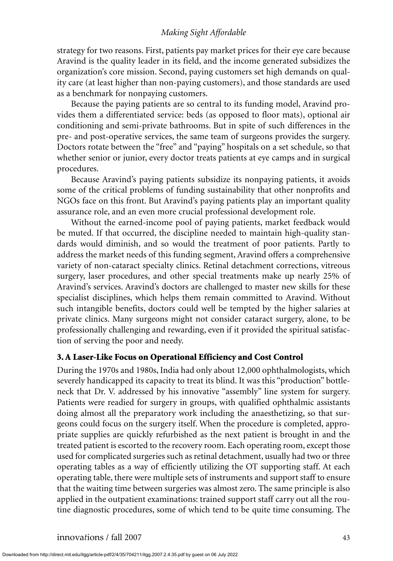strategy for two reasons. First, patients pay market prices for their eye care because Aravind is the quality leader in its field, and the income generated subsidizes the organization's core mission. Second, paying customers set high demands on quality care (at least higher than non-paying customers), and those standards are used as a benchmark for nonpaying customers.

Because the paying patients are so central to its funding model, Aravind provides them a differentiated service: beds (as opposed to floor mats), optional air conditioning and semi-private bathrooms. But in spite of such differences in the pre- and post-operative services, the same team of surgeons provides the surgery. Doctors rotate between the "free" and "paying" hospitals on a set schedule, so that whether senior or junior, every doctor treats patients at eye camps and in surgical procedures.

Because Aravind's paying patients subsidize its nonpaying patients, it avoids some of the critical problems of funding sustainability that other nonprofits and NGOs face on this front. But Aravind's paying patients play an important quality assurance role, and an even more crucial professional development role.

Without the earned-income pool of paying patients, market feedback would be muted. If that occurred, the discipline needed to maintain high-quality standards would diminish, and so would the treatment of poor patients. Partly to address the market needs of this funding segment, Aravind offers a comprehensive variety of non-cataract specialty clinics. Retinal detachment corrections, vitreous surgery, laser procedures, and other special treatments make up nearly 25% of Aravind's services. Aravind's doctors are challenged to master new skills for these specialist disciplines, which helps them remain committed to Aravind. Without such intangible benefits, doctors could well be tempted by the higher salaries at private clinics. Many surgeons might not consider cataract surgery, alone, to be professionally challenging and rewarding, even if it provided the spiritual satisfaction of serving the poor and needy.

## **3. A Laser-Like Focus on Operational Efficiency and Cost Control**

During the 1970s and 1980s, India had only about 12,000 ophthalmologists, which severely handicapped its capacity to treat its blind. It was this "production" bottleneck that Dr. V. addressed by his innovative "assembly" line system for surgery. Patients were readied for surgery in groups, with qualified ophthalmic assistants doing almost all the preparatory work including the anaesthetizing, so that surgeons could focus on the surgery itself. When the procedure is completed, appropriate supplies are quickly refurbished as the next patient is brought in and the treated patient is escorted to the recovery room. Each operating room, except those used for complicated surgeries such as retinal detachment, usually had two or three operating tables as a way of efficiently utilizing the OT supporting staff. At each operating table, there were multiple sets of instruments and support staff to ensure that the waiting time between surgeries was almost zero. The same principle is also applied in the outpatient examinations: trained support staff carry out all the routine diagnostic procedures, some of which tend to be quite time consuming. The

Downloaded from http://direct.mit.edu/itgg/article-pdf/2/4/35/704211/itgg.2007.2.4.35.pdf by guest on 06 July 2022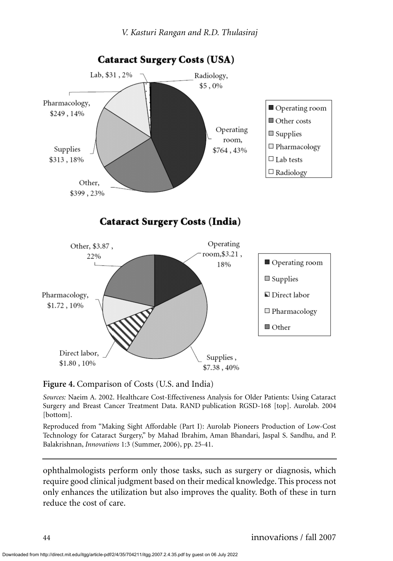

**Figure 4.** Comparison of Costs (U.S. and India)

*Sources:* Naeim A. 2002. Healthcare Cost-Effectiveness Analysis for Older Patients: Using Cataract Surgery and Breast Cancer Treatment Data. RAND publication RGSD-168 [top]. Aurolab. 2004 [bottom].

Reproduced from "Making Sight Affordable (Part I): Aurolab Pioneers Production of Low-Cost Technology for Cataract Surgery," by Mahad Ibrahim, Aman Bhandari, Jaspal S. Sandhu, and P. Balakrishnan, *Innovations* 1:3 (Summer, 2006), pp. 25-41.

ophthalmologists perform only those tasks, such as surgery or diagnosis, which require good clinical judgment based on their medical knowledge. This process not only enhances the utilization but also improves the quality. Both of these in turn reduce the cost of care.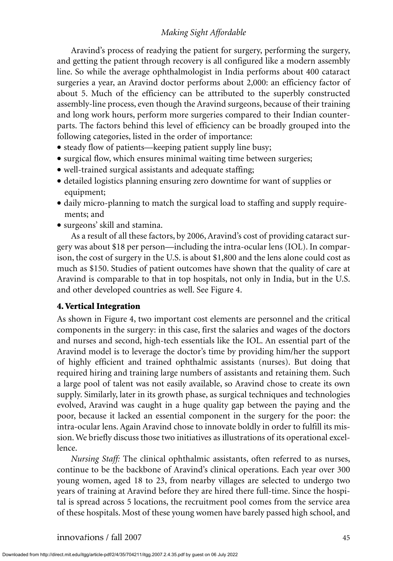Aravind's process of readying the patient for surgery, performing the surgery, and getting the patient through recovery is all configured like a modern assembly line. So while the average ophthalmologist in India performs about 400 cataract surgeries a year, an Aravind doctor performs about 2,000: an efficiency factor of about 5. Much of the efficiency can be attributed to the superbly constructed assembly-line process, even though the Aravind surgeons, because of their training and long work hours, perform more surgeries compared to their Indian counterparts. The factors behind this level of efficiency can be broadly grouped into the following categories, listed in the order of importance:

- steady flow of patients—keeping patient supply line busy;
- surgical flow, which ensures minimal waiting time between surgeries;
- well-trained surgical assistants and adequate staffing;
- detailed logistics planning ensuring zero downtime for want of supplies or equipment;
- daily micro-planning to match the surgical load to staffing and supply requirements; and
- surgeons' skill and stamina.

As a result of all these factors, by 2006, Aravind's cost of providing cataract surgery was about \$18 per person—including the intra-ocular lens (IOL). In comparison, the cost of surgery in the U.S. is about \$1,800 and the lens alone could cost as much as \$150. Studies of patient outcomes have shown that the quality of care at Aravind is comparable to that in top hospitals, not only in India, but in the U.S. and other developed countries as well. See Figure 4.

## **4. Vertical Integration**

As shown in Figure 4, two important cost elements are personnel and the critical components in the surgery: in this case, first the salaries and wages of the doctors and nurses and second, high-tech essentials like the IOL. An essential part of the Aravind model is to leverage the doctor's time by providing him/her the support of highly efficient and trained ophthalmic assistants (nurses). But doing that required hiring and training large numbers of assistants and retaining them. Such a large pool of talent was not easily available, so Aravind chose to create its own supply. Similarly, later in its growth phase, as surgical techniques and technologies evolved, Aravind was caught in a huge quality gap between the paying and the poor, because it lacked an essential component in the surgery for the poor: the intra-ocular lens. Again Aravind chose to innovate boldly in order to fulfill its mission. We briefly discuss those two initiatives as illustrations of its operational excellence.

*Nursing Staff:* The clinical ophthalmic assistants, often referred to as nurses, continue to be the backbone of Aravind's clinical operations. Each year over 300 young women, aged 18 to 23, from nearby villages are selected to undergo two years of training at Aravind before they are hired there full-time. Since the hospital is spread across 5 locations, the recruitment pool comes from the service area of these hospitals. Most of these young women have barely passed high school, and

Downloaded from http://direct.mit.edu/itgg/article-pdf/2/4/35/704211/itgg.2007.2.4.35.pdf by guest on 06 July 2022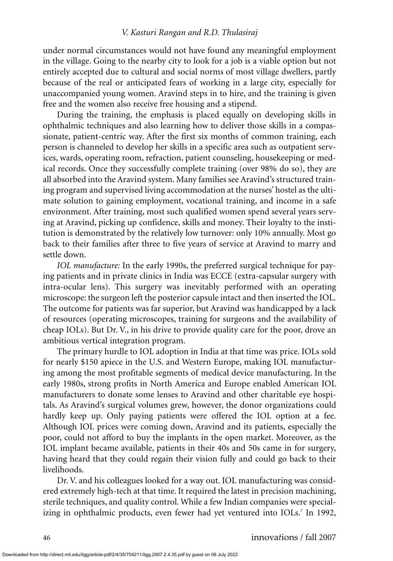under normal circumstances would not have found any meaningful employment in the village. Going to the nearby city to look for a job is a viable option but not entirely accepted due to cultural and social norms of most village dwellers, partly because of the real or anticipated fears of working in a large city, especially for unaccompanied young women. Aravind steps in to hire, and the training is given free and the women also receive free housing and a stipend.

During the training, the emphasis is placed equally on developing skills in ophthalmic techniques and also learning how to deliver those skills in a compassionate, patient-centric way. After the first six months of common training, each person is channeled to develop her skills in a specific area such as outpatient services, wards, operating room, refraction, patient counseling, housekeeping or medical records. Once they successfully complete training (over 98% do so), they are all absorbed into the Aravind system. Many families see Aravind's structured training program and supervised living accommodation at the nurses' hostel as the ultimate solution to gaining employment, vocational training, and income in a safe environment. After training, most such qualified women spend several years serving at Aravind, picking up confidence, skills and money. Their loyalty to the institution is demonstrated by the relatively low turnover: only 10% annually. Most go back to their families after three to five years of service at Aravind to marry and settle down.

*IOL manufacture:* In the early 1990s, the preferred surgical technique for paying patients and in private clinics in India was ECCE (extra-capsular surgery with intra-ocular lens). This surgery was inevitably performed with an operating microscope: the surgeon left the posterior capsule intact and then inserted the IOL. The outcome for patients was far superior, but Aravind was handicapped by a lack of resources (operating microscopes, training for surgeons and the availability of cheap IOLs). But Dr. V., in his drive to provide quality care for the poor, drove an ambitious vertical integration program.

The primary hurdle to IOL adoption in India at that time was price. IOLs sold for nearly \$150 apiece in the U.S. and Western Europe, making IOL manufacturing among the most profitable segments of medical device manufacturing. In the early 1980s, strong profits in North America and Europe enabled American IOL manufacturers to donate some lenses to Aravind and other charitable eye hospitals. As Aravind's surgical volumes grew, however, the donor organizations could hardly keep up. Only paying patients were offered the IOL option at a fee. Although IOL prices were coming down, Aravind and its patients, especially the poor, could not afford to buy the implants in the open market. Moreover, as the IOL implant became available, patients in their 40s and 50s came in for surgery, having heard that they could regain their vision fully and could go back to their livelihoods.

Dr. V. and his colleagues looked for a way out. IOL manufacturing was considered extremely high-tech at that time. It required the latest in precision machining, sterile techniques, and quality control. While a few Indian companies were specializing in ophthalmic products, even fewer had yet ventured into IOLs.<sup>7</sup> In 1992,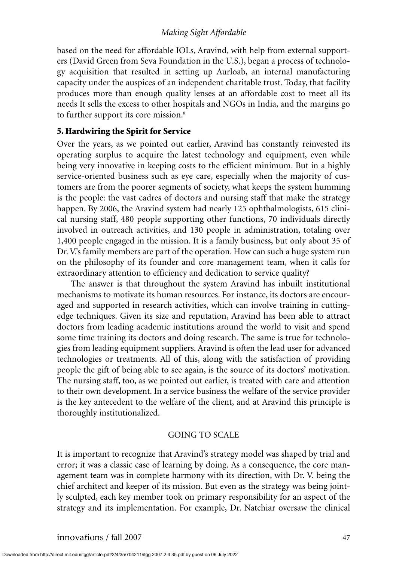based on the need for affordable IOLs, Aravind, with help from external supporters (David Green from Seva Foundation in the U.S.), began a process of technology acquisition that resulted in setting up Aurloab, an internal manufacturing capacity under the auspices of an independent charitable trust. Today, that facility produces more than enough quality lenses at an affordable cost to meet all its needs It sells the excess to other hospitals and NGOs in India, and the margins go to further support its core mission.<sup>8</sup>

# **5. Hardwiring the Spirit for Service**

Over the years, as we pointed out earlier, Aravind has constantly reinvested its operating surplus to acquire the latest technology and equipment, even while being very innovative in keeping costs to the efficient minimum. But in a highly service-oriented business such as eye care, especially when the majority of customers are from the poorer segments of society, what keeps the system humming is the people: the vast cadres of doctors and nursing staff that make the strategy happen. By 2006, the Aravind system had nearly 125 ophthalmologists, 615 clinical nursing staff, 480 people supporting other functions, 70 individuals directly involved in outreach activities, and 130 people in administration, totaling over 1,400 people engaged in the mission. It is a family business, but only about 35 of Dr. V.'s family members are part of the operation. How can such a huge system run on the philosophy of its founder and core management team, when it calls for extraordinary attention to efficiency and dedication to service quality?

The answer is that throughout the system Aravind has inbuilt institutional mechanisms to motivate its human resources. For instance, its doctors are encouraged and supported in research activities, which can involve training in cuttingedge techniques. Given its size and reputation, Aravind has been able to attract doctors from leading academic institutions around the world to visit and spend some time training its doctors and doing research. The same is true for technologies from leading equipment suppliers. Aravind is often the lead user for advanced technologies or treatments. All of this, along with the satisfaction of providing people the gift of being able to see again, is the source of its doctors' motivation. The nursing staff, too, as we pointed out earlier, is treated with care and attention to their own development. In a service business the welfare of the service provider is the key antecedent to the welfare of the client, and at Aravind this principle is thoroughly institutionalized.

## GOING TO SCALE

It is important to recognize that Aravind's strategy model was shaped by trial and error; it was a classic case of learning by doing. As a consequence, the core management team was in complete harmony with its direction, with Dr. V. being the chief architect and keeper of its mission. But even as the strategy was being jointly sculpted, each key member took on primary responsibility for an aspect of the strategy and its implementation. For example, Dr. Natchiar oversaw the clinical

Downloaded from http://direct.mit.edu/itgg/article-pdf/2/4/35/704211/itgg.2007.2.4.35.pdf by guest on 06 July 2022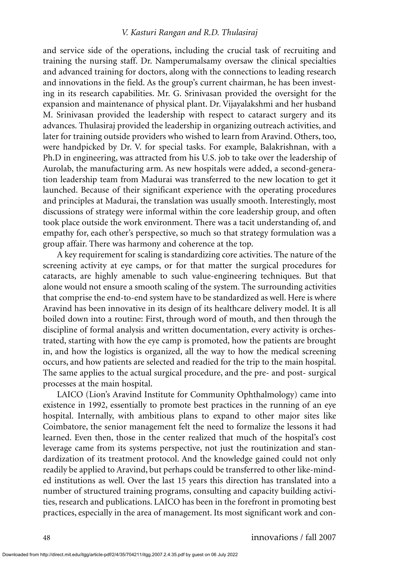and service side of the operations, including the crucial task of recruiting and training the nursing staff. Dr. Namperumalsamy oversaw the clinical specialties and advanced training for doctors, along with the connections to leading research and innovations in the field. As the group's current chairman, he has been investing in its research capabilities. Mr. G. Srinivasan provided the oversight for the expansion and maintenance of physical plant. Dr. Vijayalakshmi and her husband M. Srinivasan provided the leadership with respect to cataract surgery and its advances. Thulasiraj provided the leadership in organizing outreach activities, and later for training outside providers who wished to learn from Aravind. Others, too, were handpicked by Dr. V. for special tasks. For example, Balakrishnan, with a Ph.D in engineering, was attracted from his U.S. job to take over the leadership of Aurolab, the manufacturing arm. As new hospitals were added, a second-generation leadership team from Madurai was transferred to the new location to get it launched. Because of their significant experience with the operating procedures and principles at Madurai, the translation was usually smooth. Interestingly, most discussions of strategy were informal within the core leadership group, and often took place outside the work environment. There was a tacit understanding of, and empathy for, each other's perspective, so much so that strategy formulation was a group affair. There was harmony and coherence at the top.

A key requirement for scaling is standardizing core activities. The nature of the screening activity at eye camps, or for that matter the surgical procedures for cataracts, are highly amenable to such value-engineering techniques. But that alone would not ensure a smooth scaling of the system. The surrounding activities that comprise the end-to-end system have to be standardized as well. Here is where Aravind has been innovative in its design of its healthcare delivery model. It is all boiled down into a routine: First, through word of mouth, and then through the discipline of formal analysis and written documentation, every activity is orchestrated, starting with how the eye camp is promoted, how the patients are brought in, and how the logistics is organized, all the way to how the medical screening occurs, and how patients are selected and readied for the trip to the main hospital. The same applies to the actual surgical procedure, and the pre- and post- surgical processes at the main hospital.

LAICO (Lion's Aravind Institute for Community Ophthalmology) came into existence in 1992, essentially to promote best practices in the running of an eye hospital. Internally, with ambitious plans to expand to other major sites like Coimbatore, the senior management felt the need to formalize the lessons it had learned. Even then, those in the center realized that much of the hospital's cost leverage came from its systems perspective, not just the routinization and standardization of its treatment protocol. And the knowledge gained could not only readily be applied to Aravind, but perhaps could be transferred to other like-minded institutions as well. Over the last 15 years this direction has translated into a number of structured training programs, consulting and capacity building activities, research and publications. LAICO has been in the forefront in promoting best practices, especially in the area of management. Its most significant work and con-